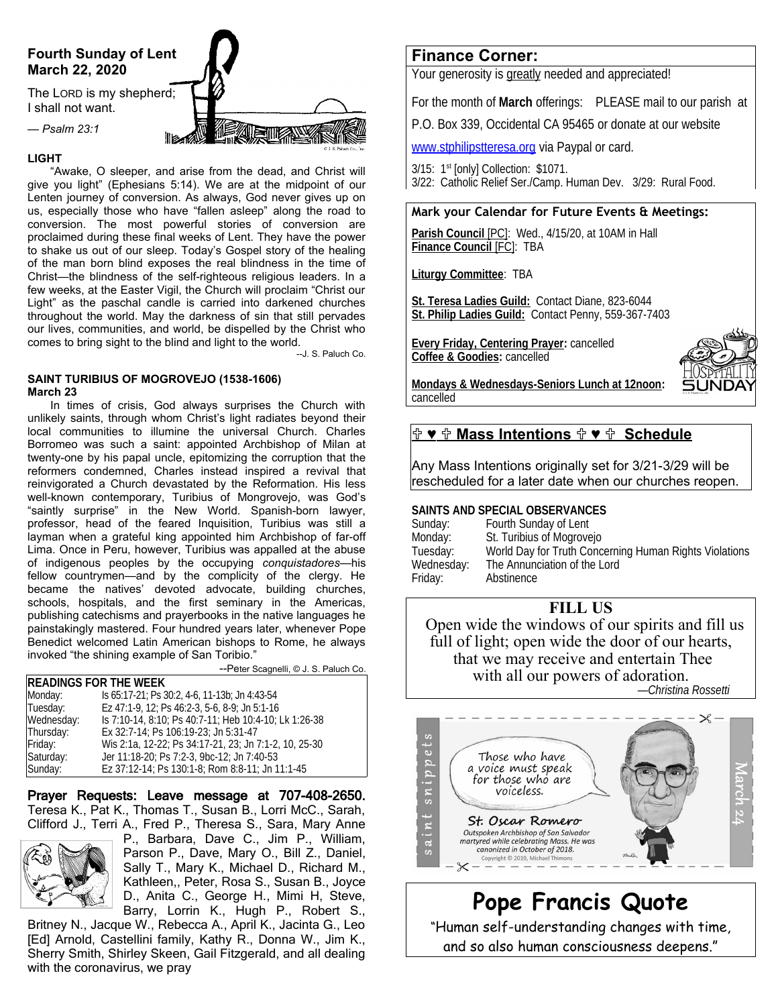# **Fourth Sunday of Lent March 22, 2020**

The LORD is my shepherd; I shall not want.

*— Psalm 23:1*

#### **LIGHT**

"Awake, O sleeper, and arise from the dead, and Christ will give you light" (Ephesians 5:14). We are at the midpoint of our Lenten journey of conversion. As always, God never gives up on us, especially those who have "fallen asleep" along the road to conversion. The most powerful stories of conversion are proclaimed during these final weeks of Lent. They have the power to shake us out of our sleep. Today's Gospel story of the healing of the man born blind exposes the real blindness in the time of Christ—the blindness of the self-righteous religious leaders. In a few weeks, at the Easter Vigil, the Church will proclaim "Christ our Light" as the paschal candle is carried into darkened churches throughout the world. May the darkness of sin that still pervades our lives, communities, and world, be dispelled by the Christ who comes to bring sight to the blind and light to the world.

--J. S. Paluch Co.

**ET AVE** 

#### **SAINT TURIBIUS OF MOGROVEJO (1538-1606) March 23**

In times of crisis, God always surprises the Church with unlikely saints, through whom Christ's light radiates beyond their local communities to illumine the universal Church. Charles Borromeo was such a saint: appointed Archbishop of Milan at twenty-one by his papal uncle, epitomizing the corruption that the reformers condemned, Charles instead inspired a revival that reinvigorated a Church devastated by the Reformation. His less well-known contemporary, Turibius of Mongrovejo, was God's "saintly surprise" in the New World. Spanish-born lawyer, professor, head of the feared Inquisition, Turibius was still a layman when a grateful king appointed him Archbishop of far-off Lima. Once in Peru, however, Turibius was appalled at the abuse of indigenous peoples by the occupying *conquistadores*—his fellow countrymen—and by the complicity of the clergy. He became the natives' devoted advocate, building churches, schools, hospitals, and the first seminary in the Americas, publishing catechisms and prayerbooks in the native languages he painstakingly mastered. Four hundred years later, whenever Pope Benedict welcomed Latin American bishops to Rome, he always invoked "the shining example of San Toribio."

--Peter Scagnelli, © J. S. Paluch Co.

| <b>READINGS FOR THE WEEK</b> |                                                       |
|------------------------------|-------------------------------------------------------|
| Monday:                      | Is 65:17-21; Ps 30:2, 4-6, 11-13b; Jn 4:43-54         |
| Tuesday:                     | Ez 47:1-9, 12; Ps 46:2-3, 5-6, 8-9; Jn 5:1-16         |
| Wednesday:                   | Is 7:10-14, 8:10; Ps 40:7-11; Heb 10:4-10; Lk 1:26-38 |
| Thursday:                    | Ex 32:7-14: Ps 106:19-23: Jn 5:31-47                  |
| Friday:                      | Wis 2:1a, 12-22; Ps 34:17-21, 23; Jn 7:1-2, 10, 25-30 |
| Saturday:                    | Jer 11:18-20; Ps 7:2-3, 9bc-12; Jn 7:40-53            |
| Sunday:                      | Ez 37:12-14; Ps 130:1-8; Rom 8:8-11; Jn 11:1-45       |

Prayer Requests: Leave message at 707-408-2650. Teresa K., Pat K., Thomas T., Susan B., Lorri McC., Sarah, Clifford J., Terri A., Fred P., Theresa S., Sara, Mary Anne



P., Barbara, Dave C., Jim P., William, Parson P., Dave, Mary O., Bill Z., Daniel, Sally T., Mary K., Michael D., Richard M., Kathleen,, Peter, Rosa S., Susan B., Joyce D., Anita C., George H., Mimi H, Steve, Barry, Lorrin K., Hugh P., Robert S.,

Britney N., Jacque W., Rebecca A., April K., Jacinta G., Leo [Ed] Arnold, Castellini family, Kathy R., Donna W., Jim K., Sherry Smith, Shirley Skeen, Gail Fitzgerald, and all dealing with the coronavirus, we pray

## **Finance Corner:**

Your generosity is greatly needed and appreciated!

For the month of **March** offerings: PLEASE mail to our parish at

P.O. Box 339, Occidental CA 95465 or donate at our website

[www.stphilipstteresa.org](http://www.stphilipstteresa.org/) via Paypal or card.

3/15: 1<sup>st</sup> [only] Collection: \$1071.

3/22: Catholic Relief Ser./Camp. Human Dev. 3/29: Rural Food.

### **Mark your Calendar for Future Events & Meetings:**

 **Parish Council** [PC]:Wed., 4/15/20, at 10AM in Hall  **Finance Council** [FC]:TBA

**Liturgy Committee**: TBA

**St. Teresa Ladies Guild:** Contact Diane, 823-6044 **St. Philip Ladies Guild:** Contact Penny, 559-367-7403

**Every Friday, Centering Prayer:** cancelled **Coffee & Goodies:** cancelled



**Mondays & Wednesdays-Seniors Lunch at 12noon:** cancelled

### $\mathbf{P} \bullet \mathbf{P}$  **Mass Intentions**  $\mathbf{P} \bullet \mathbf{P}$  **Schedule**

Any Mass Intentions originally set for 3/21-3/29 will be rescheduled for a later date when our churches reopen.

### **SAINTS AND SPECIAL OBSERVANCES**

Sunday: Fourth Sunday of Lent Monday: St. Turibius of Mogrovejo<br>Tuesday: World Day for Truth Conc Tuesday: World Day for Truth Concerning Human Rights Violations The Annunciation of the Lord Friday: Abstinence

# **FILL US**

Open wide the windows of our spirits and fill us full of light; open wide the door of our hearts, that we may receive and entertain Thee with all our powers of adoration.

*—Christina Rossetti*



**Pope Francis Quote** "Human self-understanding changes with time, and so also human consciousness deepens."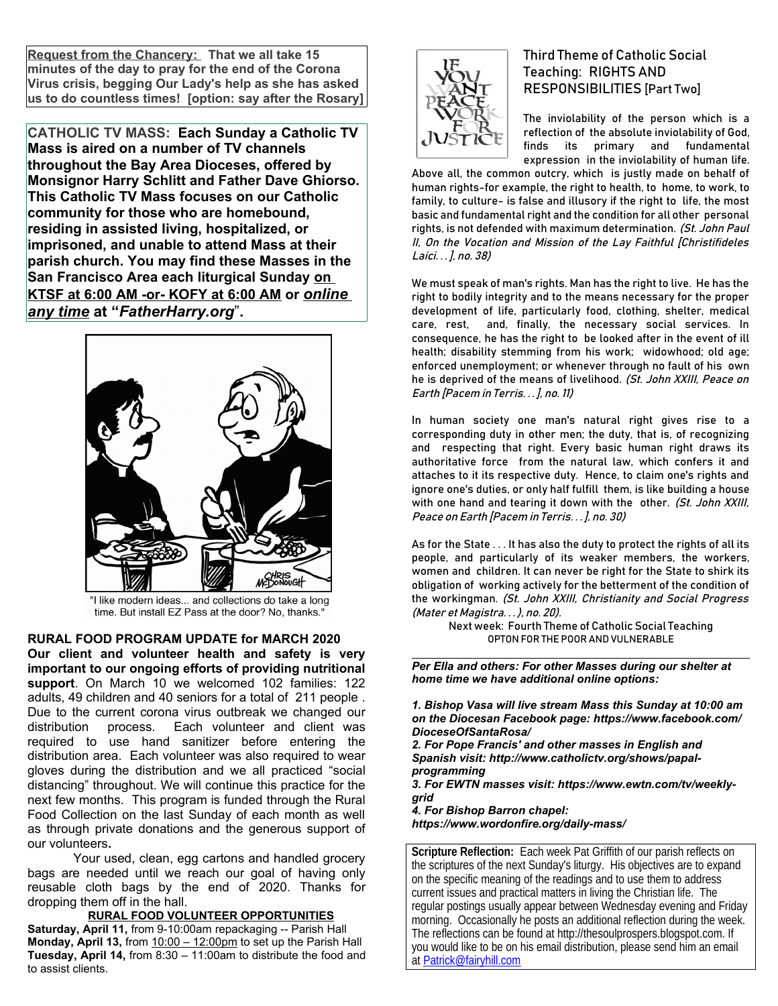**Request from the Chancery: That we all take 15 minutes of the day to pray for the end of the Corona Virus crisis, begging Our Lady's help as she has asked us to do countless times! [option: say after the Rosary]**

**CATHOLIC TV MASS: Each Sunday a Catholic TV Mass is aired on a number of TV channels throughout the Bay Area Dioceses, offered by Monsignor Harry Schlitt and Father Dave Ghiorso. This Catholic TV Mass focuses on our Catholic community for those who are homebound, residing in assisted living, hospitalized, or imprisoned, and unable to attend Mass at their parish church. You may find these Masses in the San Francisco Area each liturgical Sunday on KTSF at 6:00 AM -or- KOFY at 6:00 AM or** *online any time* **at "***FatherHarry.org*"**.** 



"I like modern ideas... and collections do take a long time. But install EZ Pass at the door? No, thanks."

**RURAL FOOD PROGRAM UPDATE for MARCH 2020 Our client and volunteer health and safety is very important to our ongoing efforts of providing nutritional support**. On March 10 we welcomed 102 families: 122 adults, 49 children and 40 seniors for a total of 211 people . Due to the current corona virus outbreak we changed our distribution process. Each volunteer and client was required to use hand sanitizer before entering the distribution area. Each volunteer was also required to wear gloves during the distribution and we all practiced "social distancing" throughout. We will continue this practice for the next few months. This program is funded through the Rural Food Collection on the last Sunday of each month as well as through private donations and the generous support of our volunteers**.** 

Your used, clean, egg cartons and handled grocery bags are needed until we reach our goal of having only reusable cloth bags by the end of 2020. Thanks for dropping them off in the hall.

 **RURAL FOOD VOLUNTEER OPPORTUNITIES Saturday, April 11,** from 9-10:00am repackaging -- Parish Hall **Monday, April 13,** from 10:00 – 12:00pm to set up the Parish Hall **Tuesday, April 14,** from 8:30 – 11:00am to distribute the food and to assist clients.



# Third Theme of Catholic Social Teaching: RIGHTS AND RESPONSIBILITIES [Part Two]

The inviolability of the person which is a reflection of the absolute inviolability of God, finds its primary and fundamental expression in the inviolability of human life.

Above all, the common outcry, which is justly made on behalf of human rights-for example, the right to health, to home, to work, to family, to culture- is false and illusory if the right to life, the most basic and fundamental right and the condition for all other personal rights, is not defended with maximum determination. (St. John Paul II, On the Vocation and Mission of the Lay Faithful [Christifideles Laici. . . ], no. 38)

We must speak of man's rights. Man has the right to live. He has the right to bodily integrity and to the means necessary for the proper development of life, particularly food, clothing, shelter, medical care, rest, and, finally, the necessary social services. In consequence, he has the right to be looked after in the event of ill health; disability stemming from his work; widowhood; old age; enforced unemployment; or whenever through no fault of his own he is deprived of the means of livelihood. (St. John XXIII, Peace on Earth [Pacem in Terris. . . ], no. 11)

In human society one man's natural right gives rise to a corresponding duty in other men; the duty, that is, of recognizing and respecting that right. Every basic human right draws its authoritative force from the natural law, which confers it and attaches to it its respective duty. Hence, to claim one's rights and ignore one's duties, or only half fulfill them, is like building a house with one hand and tearing it down with the other. (St. John XXIII, Peace on Earth [Pacem in Terris. . . ], no. 30)

As for the State . . . It has also the duty to protect the rights of all its people, and particularly of its weaker members, the workers, women and children. It can never be right for the State to shirk its obligation of working actively for the betterment of the condition of the workingman. (St. John XXIII, Christianity and Social Progress (Mater et Magistra. . . ), no. 20).

> Next week: Fourth Theme of Catholic Social Teaching OPTON FOR THE POOR AND VULNERABLE

*Per Ella and others: For other Masses during our shelter at home time we have additional online options:* 

*1. Bishop Vasa will live stream Mass this Sunday at 10:00 am on the Diocesan Facebook page: https://www.facebook.com/ DioceseOfSantaRosa/*

*2. For Pope Francis' and other masses in English and Spanish visit: http://www.catholictv.org/shows/papalprogramming*

*3. For EWTN masses visit: https://www.ewtn.com/tv/weeklygrid*

*4. For Bishop Barron chapel:* 

*https://www.wordonfire.org/daily-mass/*

**Scripture Reflection:** Each week Pat Griffith of our parish reflects on the scriptures of the next Sunday's liturgy. His objectives are to expand on the specific meaning of the readings and to use them to address current issues and practical matters in living the Christian life. The regular postings usually appear between Wednesday evening and Friday morning. Occasionally he posts an additional reflection during the week. The reflections can be found at http://thesoulprospers.blogspot.com. If you would like to be on his email distribution, please send him an email at [Patrick@fairyhill.com](mailto:Patrick@fairyhill.com)